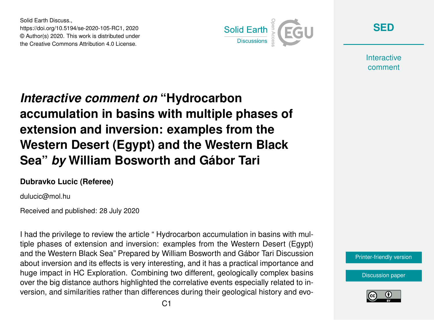Solid Earth Discuss., https://doi.org/10.5194/se-2020-105-RC1, 2020 © Author(s) 2020. This work is distributed under the Creative Commons Attribution 4.0 License.



**[SED](https://se.copernicus.org/preprints/)**

**Interactive** comment

## *Interactive comment on* **"Hydrocarbon accumulation in basins with multiple phases of extension and inversion: examples from the Western Desert (Egypt) and the Western Black Sea"** *by* **William Bosworth and Gábor Tari**

## **Dubravko Lucic (Referee)**

dulucic@mol.hu

Received and published: 28 July 2020

I had the privilege to review the article " Hydrocarbon accumulation in basins with multiple phases of extension and inversion: examples from the Western Desert (Egypt) and the Western Black Sea" Prepared by William Bosworth and Gábor Tari Discussion about inversion and its effects is very interesting, and it has a practical importance and huge impact in HC Exploration. Combining two different, geologically complex basins over the big distance authors highlighted the correlative events especially related to inversion, and similarities rather than differences during their geological history and evo-



[Discussion paper](https://se.copernicus.org/preprints/se-2020-105)